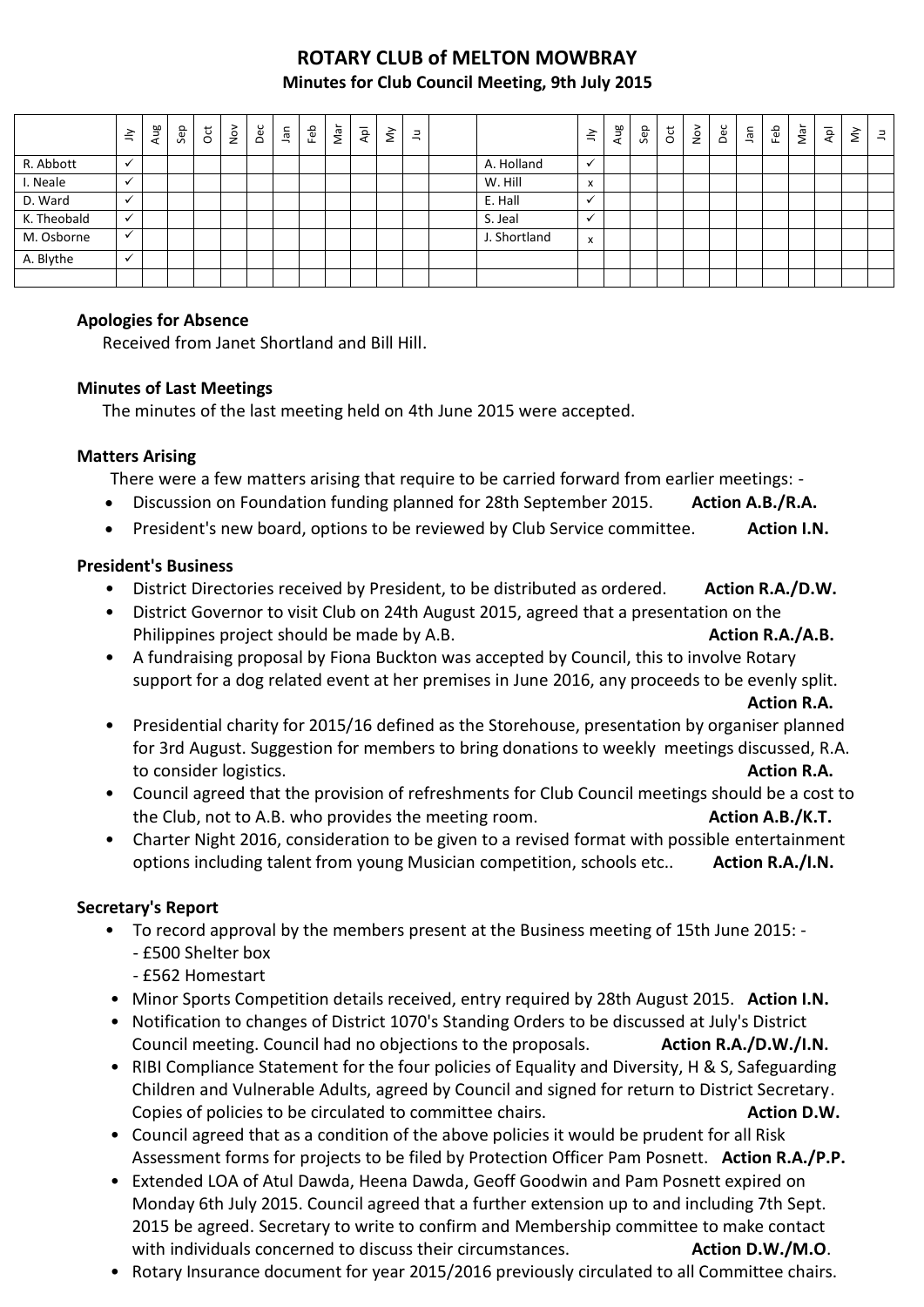# **ROTARY CLUB of MELTON MOWBRAY Minutes for Club Council Meeting, 9th July 2015**

|             | $\preceq$                | Aug | Sep | $\rm \ddot{c}$ | $\frac{5}{2}$ | Dec | Jan | Feb | Nar | $\overline{P}$ | $\check{\varepsilon}$ | $\exists$ |              | $\leq$       | Aug | Sep | $\overline{c}$ | $\sum$ | Dec | ٦ã | Feb | Nar | $\overline{\mathsf{A}}$ | š | $\equiv$ |
|-------------|--------------------------|-----|-----|----------------|---------------|-----|-----|-----|-----|----------------|-----------------------|-----------|--------------|--------------|-----|-----|----------------|--------|-----|----|-----|-----|-------------------------|---|----------|
| R. Abbott   | $\mathbf{v}$             |     |     |                |               |     |     |     |     |                |                       |           | A. Holland   | $\checkmark$ |     |     |                |        |     |    |     |     |                         |   |          |
| I. Neale    |                          |     |     |                |               |     |     |     |     |                |                       |           | W. Hill      | x            |     |     |                |        |     |    |     |     |                         |   |          |
| D. Ward     | $\checkmark$             |     |     |                |               |     |     |     |     |                |                       |           | E. Hall      | $\cdot$      |     |     |                |        |     |    |     |     |                         |   |          |
| K. Theobald | $\checkmark$             |     |     |                |               |     |     |     |     |                |                       |           | S. Jeal      |              |     |     |                |        |     |    |     |     |                         |   |          |
| M. Osborne  |                          |     |     |                |               |     |     |     |     |                |                       |           | J. Shortland | x            |     |     |                |        |     |    |     |     |                         |   |          |
| A. Blythe   | $\overline{\phantom{a}}$ |     |     |                |               |     |     |     |     |                |                       |           |              |              |     |     |                |        |     |    |     |     |                         |   |          |
|             |                          |     |     |                |               |     |     |     |     |                |                       |           |              |              |     |     |                |        |     |    |     |     |                         |   |          |

#### **Apologies for Absence**

Received from Janet Shortland and Bill Hill.

### **Minutes of Last Meetings**

The minutes of the last meeting held on 4th June 2015 were accepted.

#### **Matters Arising**

There were a few matters arising that require to be carried forward from earlier meetings: -

- Discussion on Foundation funding planned for 28th September 2015. Action A.B./R.A.
- **•** President's new board, options to be reviewed by Club Service committee. Action I.N.

### **President's Business**

- District Directories received by President, to be distributed as ordered. Action R.A./D.W.
- District Governor to visit Club on 24th August 2015, agreed that a presentation on the Philippines project should be made by A.B. **Action R.A./A.B. Action R.A./A.B.**
- A fundraising proposal by Fiona Buckton was accepted by Council, this to involve Rotary support for a dog related event at her premises in June 2016, any proceeds to be evenly split.

**Action R.A.**

- Presidential charity for 2015/16 defined as the Storehouse, presentation by organiser planned for 3rd August. Suggestion for members to bring donations to weekly meetings discussed, R.A. to consider logistics. **Action R.A.**
- Council agreed that the provision of refreshments for Club Council meetings should be a cost to the Club, not to A.B. who provides the meeting room. **Action A.B./K.T.**
- Charter Night 2016, consideration to be given to a revised format with possible entertainment options including talent from young Musician competition, schools etc.. **Action R.A./I.N.**

### **Secretary's Report**

- To record approval by the members present at the Business meeting of 15th June 2015: - £500 Shelter box
	- £562 Homestart
- Minor Sports Competition details received, entry required by 28th August 2015. **Action I.N.**
- Notification to changes of District 1070's Standing Orders to be discussed at July's District Council meeting. Council had no objections to the proposals. **Action R.A./D.W./I.N.**
- RIBI Compliance Statement for the four policies of Equality and Diversity, H & S, Safeguarding Children and Vulnerable Adults, agreed by Council and signed for return to District Secretary. Copies of policies to be circulated to committee chairs. **Action D.W. Action D.W.**
- Council agreed that as a condition of the above policies it would be prudent for all Risk Assessment forms for projects to be filed by Protection Officer Pam Posnett. **Action R.A./P.P.**
- Extended LOA of Atul Dawda, Heena Dawda, Geoff Goodwin and Pam Posnett expired on Monday 6th July 2015. Council agreed that a further extension up to and including 7th Sept. 2015 be agreed. Secretary to write to confirm and Membership committee to make contact with individuals concerned to discuss their circumstances. **Action D.W./M.O**.
- Rotary Insurance document for year 2015/2016 previously circulated to all Committee chairs.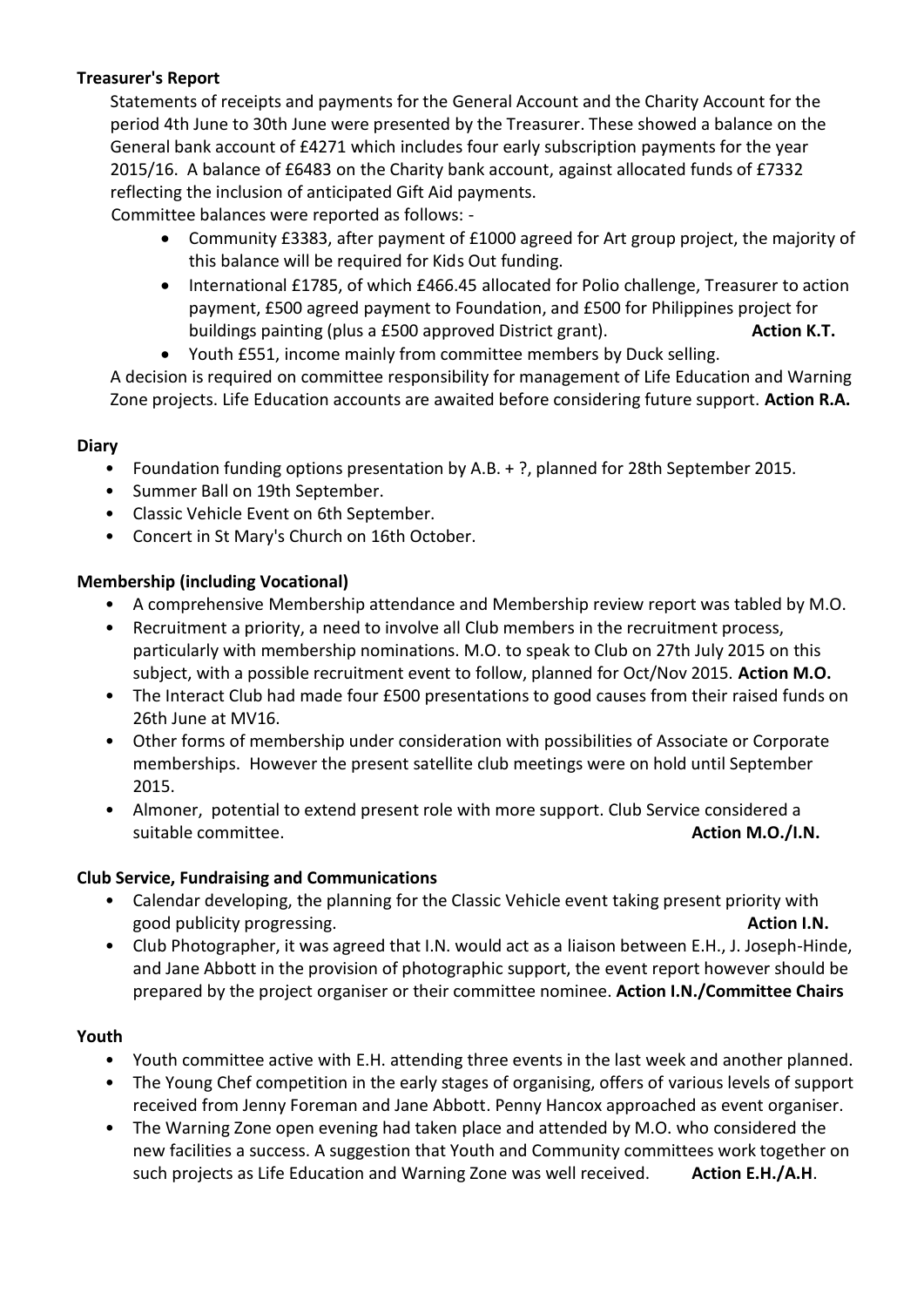# **Treasurer's Report**

Statements of receipts and payments for the General Account and the Charity Account for the period 4th June to 30th June were presented by the Treasurer. These showed a balance on the General bank account of £4271 which includes four early subscription payments for the year 2015/16. A balance of £6483 on the Charity bank account, against allocated funds of £7332 reflecting the inclusion of anticipated Gift Aid payments.

Committee balances were reported as follows: -

- Community £3383, after payment of £1000 agreed for Art group project, the majority of this balance will be required for Kids Out funding.
- International £1785, of which £466.45 allocated for Polio challenge, Treasurer to action payment, £500 agreed payment to Foundation, and £500 for Philippines project for buildings painting (plus a £500 approved District grant). **Action K.T. Action K.T.**
- Youth £551, income mainly from committee members by Duck selling.

A decision is required on committee responsibility for management of Life Education and Warning Zone projects. Life Education accounts are awaited before considering future support. **Action R.A.**

## **Diary**

- Foundation funding options presentation by A.B. + ?, planned for 28th September 2015.
- Summer Ball on 19th September.
- Classic Vehicle Event on 6th September.
- Concert in St Mary's Church on 16th October.

### **Membership (including Vocational)**

- A comprehensive Membership attendance and Membership review report was tabled by M.O.
- Recruitment a priority, a need to involve all Club members in the recruitment process, particularly with membership nominations. M.O. to speak to Club on 27th July 2015 on this subject, with a possible recruitment event to follow, planned for Oct/Nov 2015. **Action M.O.**
- The Interact Club had made four £500 presentations to good causes from their raised funds on 26th June at MV16.
- Other forms of membership under consideration with possibilities of Associate or Corporate memberships. However the present satellite club meetings were on hold until September 2015.
- Almoner, potential to extend present role with more support. Club Service considered a suitable committee. **Action M.O./I.N. Action M.O./I.N.**

### **Club Service, Fundraising and Communications**

- Calendar developing, the planning for the Classic Vehicle event taking present priority with good publicity progressing. **Action I.N. Action I.N. Action I.N. Action I.N.**
- Club Photographer, it was agreed that I.N. would act as a liaison between E.H., J. Joseph-Hinde, and Jane Abbott in the provision of photographic support, the event report however should be prepared by the project organiser or their committee nominee. **Action I.N./Committee Chairs**

### **Youth**

- Youth committee active with E.H. attending three events in the last week and another planned.
- The Young Chef competition in the early stages of organising, offers of various levels of support received from Jenny Foreman and Jane Abbott. Penny Hancox approached as event organiser.
- The Warning Zone open evening had taken place and attended by M.O. who considered the new facilities a success. A suggestion that Youth and Community committees work together on such projects as Life Education and Warning Zone was well received. **Action E.H./A.H**.